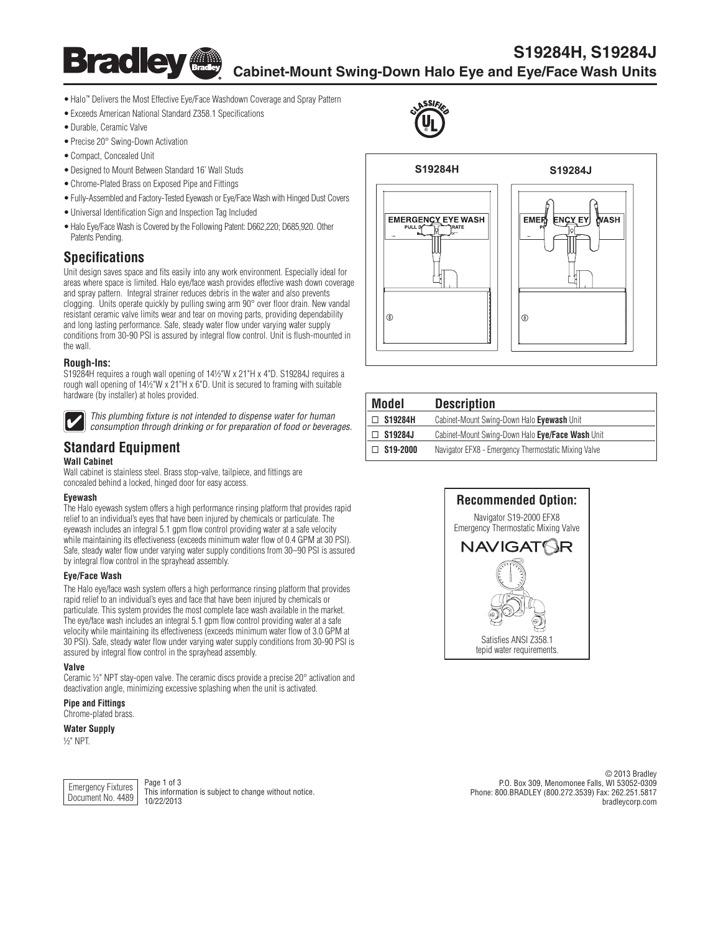

# **S19284H, S19284J Cabinet-Mount Swing-Down Halo Eye and Eye/Face Wash Units**

**®**

- Halo™ Delivers the Most Effective Eye/Face Washdown Coverage and Spray Pattern
- Exceeds American National Standard Z358.1 Specifications
- • Durable, Ceramic Valve
- Precise 20° Swing-Down Activation
- • Compact, Concealed Unit
- Designed to Mount Between Standard 16' Wall Studs
- • Chrome-Plated Brass on Exposed Pipe and Fittings
- Fully-Assembled and Factory-Tested Eyewash or Eye/Face Wash with Hinged Dust Covers
- • Universal Identification Sign and Inspection Tag Included
- Halo Eye/Face Wash is Covered by the Following Patent: D662,220; D685,920. Other Patents Pending.

## **Specifications**

Unit design saves space and fits easily into any work environment. Especially ideal for areas where space is limited. Halo eye/face wash provides effective wash down coverage and spray pattern. Integral strainer reduces debris in the water and also prevents clogging. Units operate quickly by pulling swing arm 90° over floor drain. New vandal resistant ceramic valve limits wear and tear on moving parts, providing dependability and long lasting performance. Safe, steady water flow under varying water supply conditions from 30-90 PSI is assured by integral flow control. Unit is flush-mounted in the wall.

### **Rough-Ins:**

S19284H requires a rough wall opening of 14½"W x 21"H x 4"D. S19284J requires a rough wall opening of 14½"W x 21"H x 6"D. Unit is secured to framing with suitable hardware (by installer) at holes provided.



*This plumbing fixture is not intended to dispense water for human consumption through drinking or for preparation of food or beverages.*

# **Standard Equipment**

#### **Wall Cabinet**

Wall cabinet is stainless steel. Brass stop-valve, tailpiece, and fittings are concealed behind a locked, hinged door for easy access.

#### **Eyewash**

The Halo eyewash system offers a high performance rinsing platform that provides rapid relief to an individual's eyes that have been injured by chemicals or particulate. The eyewash includes an integral 5.1 gpm flow control providing water at a safe velocity while maintaining its effectiveness (exceeds minimum water flow of 0.4 GPM at 30 PSI). Safe, steady water flow under varying water supply conditions from 30–90 PSI is assured by integral flow control in the sprayhead assembly.

### **Eye/Face Wash**

The Halo eye/face wash system offers a high performance rinsing platform that provides rapid relief to an individual's eyes and face that have been injured by chemicals or particulate. This system provides the most complete face wash available in the market. The eye/face wash includes an integral 5.1 gpm flow control providing water at a safe velocity while maintaining its effectiveness (exceeds minimum water flow of 3.0 GPM at 30 PSI). Safe, steady water flow under varying water supply conditions from 30-90 PSI is assured by integral flow control in the sprayhead assembly.

#### **Valve**

Ceramic ½" NPT stay-open valve. The ceramic discs provide a precise 20° activation and deactivation angle, minimizing excessive splashing when the unit is activated.

**Pipe and Fittings** Chrome-plated brass.

**Water Supply**

½" NPT.



This information is subject to change without notice.

© 2013 Bradley P.O. Box 309, Menomonee Falls, WI 53052-0309 Phone: 800.BRADLEY (800.272.3539) Fax: 262.251.5817 bradleycorp.com



| Model     | <b>Description</b>                                   |
|-----------|------------------------------------------------------|
| S19284H   | Cabinet-Mount Swing-Down Halo Eyewash Unit           |
| S19284J   | Cabinet-Mount Swing-Down Halo Eye/Face Wash Unit     |
| \$19-2000 | Navigator EFX8 - Emergency Thermostatic Mixing Valve |

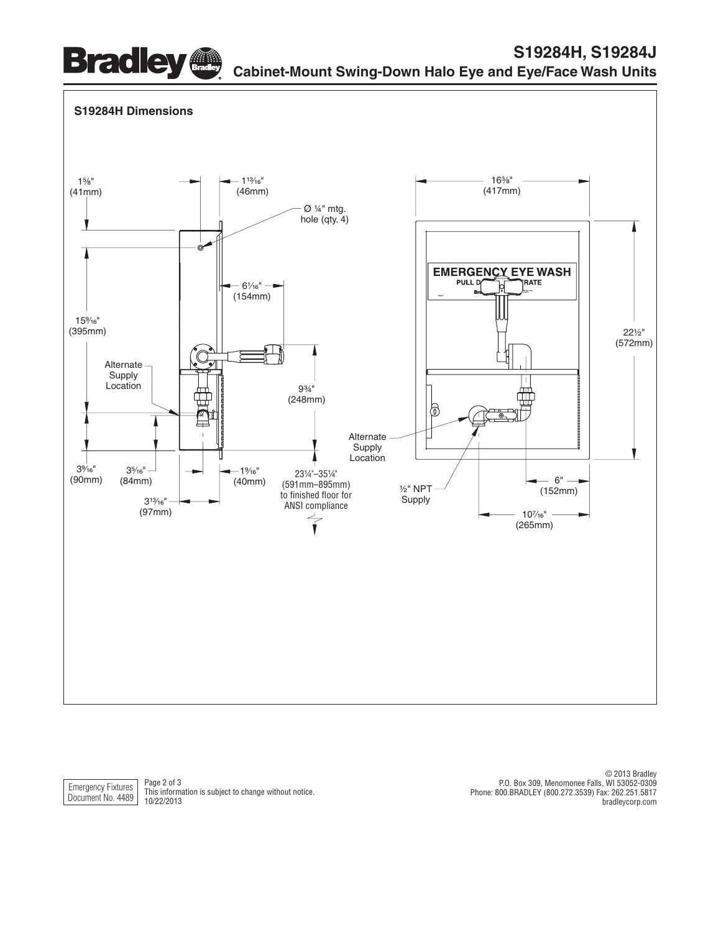



Emergency Fixtures Document No. 4489

Page 2 of 3 This information is subject to change without notice. 10/22/2013

© 2013 Bradley P.O. Box 309, Menomonee Falls, WI 53052-0309 Phone: 800.BRADLEY (800.272.3539) Fax: 262.251.5817 bradleycorp.com